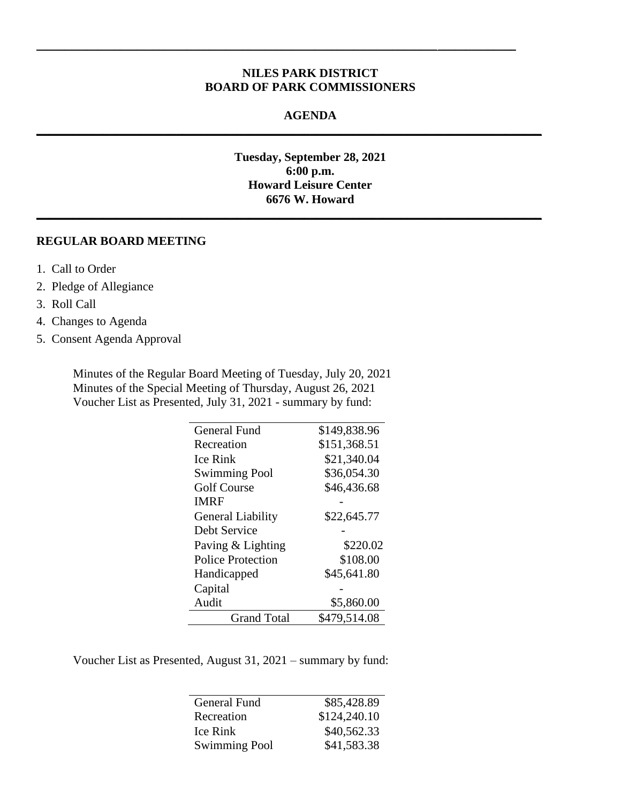## **NILES PARK DISTRICT BOARD OF PARK COMMISSIONERS**

 $\_$  , and the set of the set of the set of the set of the set of the set of the set of the set of the set of the set of the set of the set of the set of the set of the set of the set of the set of the set of the set of th

#### **AGENDA**

**\_\_\_\_\_\_\_\_\_\_\_\_\_\_\_\_\_\_\_\_\_\_\_\_\_\_\_\_\_\_\_\_\_\_\_\_\_\_\_\_\_\_\_\_\_\_\_\_\_\_\_\_\_\_\_\_\_\_\_\_\_\_\_\_\_\_\_\_\_\_\_\_\_\_\_\_\_\_\_\_\_\_\_**

**\_\_\_\_\_\_\_\_\_\_\_\_\_\_\_\_\_\_\_\_\_\_\_\_\_\_\_\_\_\_\_\_\_\_\_\_\_\_\_\_\_\_\_\_\_\_\_\_\_\_\_\_\_\_\_\_\_\_\_\_\_\_\_\_\_\_\_\_\_\_\_\_\_\_\_\_\_\_\_\_\_\_\_**

**Tuesday, September 28, 2021 6:00 p.m. Howard Leisure Center 6676 W. Howard**

### **REGULAR BOARD MEETING**

- 1. Call to Order
- 2. Pledge of Allegiance
- 3. Roll Call
- 4. Changes to Agenda
- 5. Consent Agenda Approval

Minutes of the Regular Board Meeting of Tuesday, July 20, 2021 Minutes of the Special Meeting of Thursday, August 26, 2021 Voucher List as Presented, July 31, 2021 - summary by fund:

| <b>General Fund</b>      | \$149,838.96 |
|--------------------------|--------------|
| Recreation               | \$151,368.51 |
| <b>Ice Rink</b>          | \$21,340.04  |
| <b>Swimming Pool</b>     | \$36,054.30  |
| <b>Golf Course</b>       | \$46,436.68  |
| <b>IMRF</b>              |              |
| <b>General Liability</b> | \$22,645.77  |
| Debt Service             |              |
| Paving & Lighting        | \$220.02     |
| <b>Police Protection</b> | \$108.00     |
| Handicapped              | \$45,641.80  |
| Capital                  |              |
| Audit                    | \$5,860.00   |
| <b>Grand Total</b>       | \$479,514.08 |

Voucher List as Presented, August 31, 2021 – summary by fund:

 $\overline{a}$ 

| General Fund         | \$85,428.89  |
|----------------------|--------------|
| Recreation           | \$124,240.10 |
| Ice Rink             | \$40,562.33  |
| <b>Swimming Pool</b> | \$41,583.38  |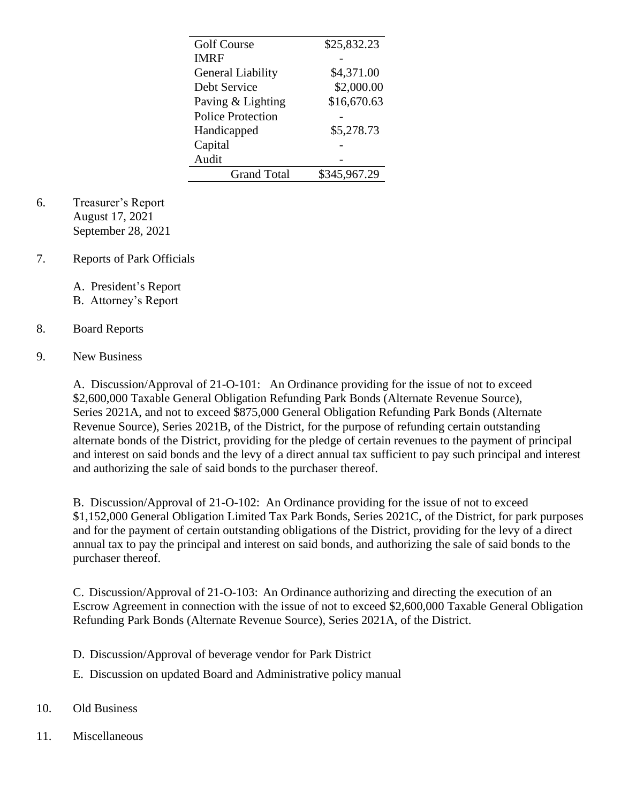| <b>Golf Course</b>       | \$25,832.23  |
|--------------------------|--------------|
| <b>IMRF</b>              |              |
| <b>General Liability</b> | \$4,371.00   |
| Debt Service             | \$2,000.00   |
| Paving & Lighting        | \$16,670.63  |
| <b>Police Protection</b> |              |
| Handicapped              | \$5,278.73   |
| Capital                  |              |
| Audit                    |              |
| <b>Grand Total</b>       | \$345,967.29 |

- 6. Treasurer's Report August 17, 2021 September 28, 2021
- 7. Reports of Park Officials

A. President's Report

B. Attorney's Report

# 8. Board Reports

# 9. New Business

A. Discussion/Approval of 21-O-101: An Ordinance providing for the issue of not to exceed \$2,600,000 Taxable General Obligation Refunding Park Bonds (Alternate Revenue Source), Series 2021A, and not to exceed \$875,000 General Obligation Refunding Park Bonds (Alternate Revenue Source), Series 2021B, of the District, for the purpose of refunding certain outstanding alternate bonds of the District, providing for the pledge of certain revenues to the payment of principal and interest on said bonds and the levy of a direct annual tax sufficient to pay such principal and interest and authorizing the sale of said bonds to the purchaser thereof.

B. Discussion/Approval of 21-O-102: An Ordinance providing for the issue of not to exceed \$1,152,000 General Obligation Limited Tax Park Bonds, Series 2021C, of the District, for park purposes and for the payment of certain outstanding obligations of the District, providing for the levy of a direct annual tax to pay the principal and interest on said bonds, and authorizing the sale of said bonds to the purchaser thereof.

C. Discussion/Approval of 21-O-103: An Ordinance authorizing and directing the execution of an Escrow Agreement in connection with the issue of not to exceed \$2,600,000 Taxable General Obligation Refunding Park Bonds (Alternate Revenue Source), Series 2021A, of the District.

- D. Discussion/Approval of beverage vendor for Park District
- E. Discussion on updated Board and Administrative policy manual
- 10. Old Business
- 11. Miscellaneous